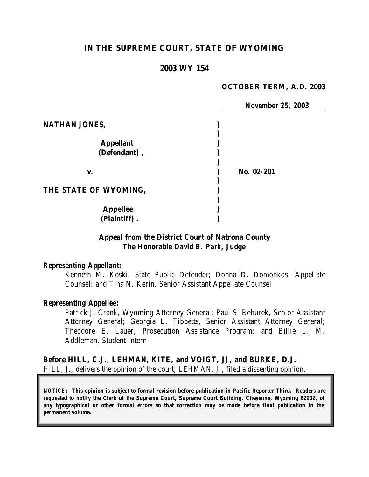# **IN THE SUPREME COURT, STATE OF WYOMING**

### **2003 WY 154**

#### **OCTOBER TERM, A.D. 2003**

|                       | <b>November 25, 2003</b> |
|-----------------------|--------------------------|
| NATHAN JONES,         |                          |
|                       |                          |
| <b>Appellant</b>      |                          |
| (Defendant),          |                          |
|                       |                          |
| V.                    | No. 02-201               |
|                       |                          |
| THE STATE OF WYOMING, |                          |
|                       |                          |
| <b>Appellee</b>       |                          |
| (Plaintiff).          |                          |

#### **Appeal from the District Court of Natrona County** *The Honorable David B. Park, Judge*

#### *Representing Appellant:*

Kenneth M. Koski, State Public Defender; Donna D. Domonkos, Appellate Counsel; and Tina N. Kerin, Senior Assistant Appellate Counsel

#### *Representing Appellee:*

Patrick J. Crank, Wyoming Attorney General; Paul S. Rehurek, Senior Assistant Attorney General; Georgia L. Tibbetts, Senior Assistant Attorney General; Theodore E. Lauer, Prosecution Assistance Program; and Billie L. M. Addleman, Student Intern

**Before HILL, C.J., LEHMAN, KITE, and VOIGT, JJ, and BURKE, D.J.** HILL, J., delivers the opinion of the court; LEHMAN, J., filed a dissenting opinion.

*NOTICE: This opinion is subject to formal revision before publication in Pacific Reporter Third. Readers are requested to notify the Clerk of the Supreme Court, Supreme Court Building, Cheyenne, Wyoming 82002, of any typographical or other formal errors so that correction may be made before final publication in the permanent volume.*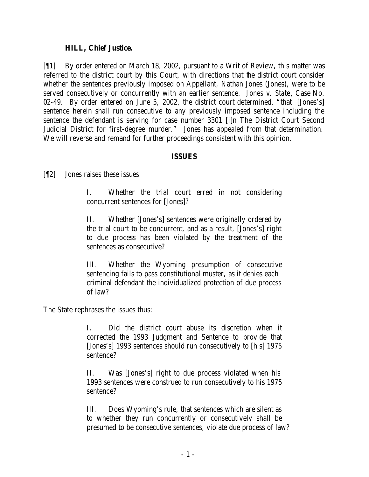### **HILL, Chief Justice.**

[¶1] By order entered on March 18, 2002, pursuant to a Writ of Review, this matter was referred to the district court by this Court, with directions that the district court consider whether the sentences previously imposed on Appellant, Nathan Jones (Jones), were to be served consecutively or concurrently with an earlier sentence. *Jones v. State*, Case No. 02-49. By order entered on June 5, 2002, the district court determined, "that [Jones's] sentence herein shall run consecutive to any previously imposed sentence including the sentence the defendant is serving for case number 3301 [i]n The District Court Second Judicial District for first-degree murder." Jones has appealed from that determination. We will reverse and remand for further proceedings consistent with this opinion.

### **ISSUES**

[¶2] Jones raises these issues:

I. Whether the trial court erred in not considering concurrent sentences for [Jones]?

II. Whether [Jones's] sentences were originally ordered by the trial court to be concurrent, and as a result, [Jones's] right to due process has been violated by the treatment of the sentences as consecutive?

III. Whether the Wyoming presumption of consecutive sentencing fails to pass constitutional muster, as it denies each criminal defendant the individualized protection of due process of law?

The State rephrases the issues thus:

I. Did the district court abuse its discretion when it corrected the 1993 Judgment and Sentence to provide that [Jones's] 1993 sentences should run consecutively to [his] 1975 sentence?

II. Was [Jones's] right to due process violated when his 1993 sentences were construed to run consecutively to his 1975 sentence?

III. Does Wyoming's rule, that sentences which are silent as to whether they run concurrently or consecutively shall be presumed to be consecutive sentences, violate due process of law?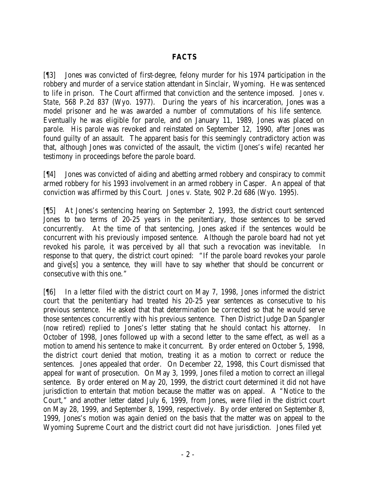## **FACTS**

[¶3] Jones was convicted of first-degree, felony murder for his 1974 participation in the robbery and murder of a service station attendant in Sinclair, Wyoming. He was sentenced to life in prison. The Court affirmed that conviction and the sentence imposed. *Jones v. State*, 568 P.2d 837 (Wyo. 1977). During the years of his incarceration, Jones was a model prisoner and he was awarded a number of commutations of his life sentence. Eventually he was eligible for parole, and on January 11, 1989, Jones was placed on parole. His parole was revoked and reinstated on September 12, 1990, after Jones was found guilty of an assault. The apparent basis for this seemingly contradictory action was that, although Jones was convicted of the assault, the victim (Jones's wife) recanted her testimony in proceedings before the parole board.

[¶4] Jones was convicted of aiding and abetting armed robbery and conspiracy to commit armed robbery for his 1993 involvement in an armed robbery in Casper. An appeal of that conviction was affirmed by this Court. *Jones v. State*, 902 P.2d 686 (Wyo. 1995).

[¶5] At Jones's sentencing hearing on September 2, 1993, the district court sentenced Jones to two terms of 20-25 years in the penitentiary, those sentences to be served concurrently. At the time of that sentencing, Jones asked if the sentences would be concurrent with his previously imposed sentence. Although the parole board had not yet revoked his parole, it was perceived by all that such a revocation was inevitable. In response to that query, the district court opined: "If the parole board revokes your parole and give[s] you a sentence, they will have to say whether that should be concurrent or consecutive with this one."

[¶6] In a letter filed with the district court on May 7, 1998, Jones informed the district court that the penitentiary had treated his 20-25 year sentences as consecutive to his previous sentence. He asked that that determination be corrected so that he would serve those sentences concurrently with his previous sentence. Then District Judge Dan Spangler (now retired) replied to Jones's letter stating that he should contact his attorney. In October of 1998, Jones followed up with a second letter to the same effect, as well as a motion to amend his sentence to make it concurrent. By order entered on October 5, 1998, the district court denied that motion, treating it as a motion to correct or reduce the sentences. Jones appealed that order. On December 22, 1998, this Court dismissed that appeal for want of prosecution. On May 3, 1999, Jones filed a motion to correct an illegal sentence. By order entered on May 20, 1999, the district court determined it did not have jurisdiction to entertain that motion because the matter was on appeal. A "Notice to the Court," and another letter dated July 6, 1999, from Jones, were filed in the district court on May 28, 1999, and September 8, 1999, respectively. By order entered on September 8, 1999, Jones's motion was again denied on the basis that the matter was on appeal to the Wyoming Supreme Court and the district court did not have jurisdiction. Jones filed yet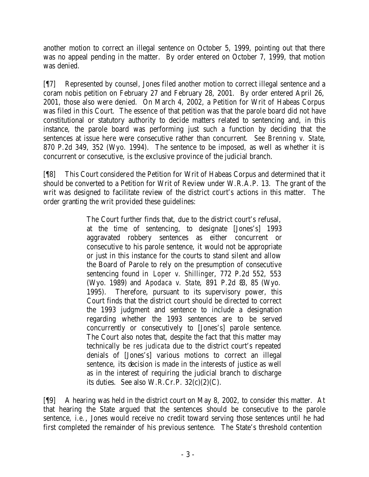another motion to correct an illegal sentence on October 5, 1999, pointing out that there was no appeal pending in the matter. By order entered on October 7, 1999, that motion was denied.

[¶7] Represented by counsel, Jones filed another motion to correct illegal sentence and a coram nobis petition on February 27 and February 28, 2001. By order entered April 26, 2001, those also were denied. On March 4, 2002, a Petition for Writ of Habeas Corpus was filed in this Court. The essence of that petition was that the parole board did not have constitutional or statutory authority to decide matters related to sentencing and, in this instance, the parole board was performing just such a function by deciding that the sentences at issue here were consecutive rather than concurrent. *See Brenning v. State*, 870 P.2d 349, 352 (Wyo. 1994). The sentence to be imposed, as well as whether it is concurrent or consecutive, is the exclusive province of the judicial branch.

[¶8] This Court considered the Petition for Writ of Habeas Corpus and determined that it should be converted to a Petition for Writ of Review under W.R.A.P. 13. The grant of the writ was designed to facilitate review of the district court's actions in this matter. The order granting the writ provided these guidelines:

> The Court further finds that, due to the district court's refusal, at the time of sentencing, to designate [Jones's] 1993 aggravated robbery sentences as either concurrent or consecutive to his parole sentence, it would not be appropriate or just in this instance for the courts to stand silent and allow the Board of Parole to rely on the presumption of consecutive sentencing found in *Loper v. Shillinger*, 772 P.2d 552, 553 (Wyo. 1989) and *Apodaca v. State*, 891 P.2d 83, 85 (Wyo. 1995). Therefore, pursuant to its supervisory power, this Court finds that the district court should be directed to correct the 1993 judgment and sentence to include a designation regarding whether the 1993 sentences are to be served concurrently or consecutively to [Jones's] parole sentence. The Court also notes that, despite the fact that this matter may technically be *res judicata* due to the district court's repeated denials of [Jones's] various motions to correct an illegal sentence, its decision is made in the interests of justice as well as in the interest of requiring the judicial branch to discharge its duties. See also W.R.Cr.P.  $32(c)(2)(C)$ .

[¶9] A hearing was held in the district court on May 8, 2002, to consider this matter. At that hearing the State argued that the sentences should be consecutive to the parole sentence, *i.e.*, Jones would receive no credit toward serving those sentences until he had first completed the remainder of his previous sentence. The State's threshold contention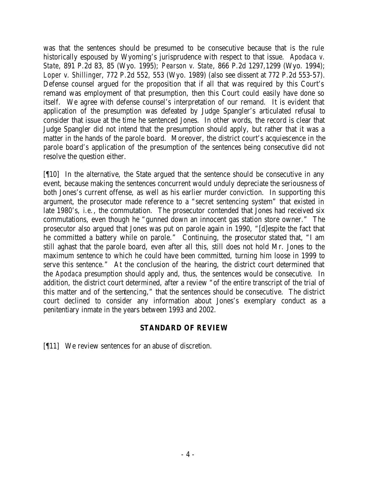was that the sentences should be presumed to be consecutive because that is the rule historically espoused by Wyoming's jurisprudence with respect to that issue. *Apodaca v. State*, 891 P.2d 83, 85 (Wyo. 1995); *Pearson v. State*, 866 P.2d 1297,1299 (Wyo. 1994); *Loper v. Shillinger*, 772 P.2d 552, 553 (Wyo. 1989) (also see dissent at 772 P.2d 553-57). Defense counsel argued for the proposition that if all that was required by this Court's remand was employment of that presumption, then this Court could easily have done so itself. We agree with defense counsel's interpretation of our remand. It is evident that application of the presumption was defeated by Judge Spangler's articulated refusal to consider that issue at the time he sentenced Jones. In other words, the record is clear that Judge Spangler did not intend that the presumption should apply, but rather that it was a matter in the hands of the parole board. Moreover, the district court's acquiescence in the parole board's application of the presumption of the sentences being consecutive did not resolve the question either.

[¶10] In the alternative, the State argued that the sentence should be consecutive in any event, because making the sentences concurrent would unduly depreciate the seriousne ss of both Jones's current offense, as well as his earlier murder conviction. In supporting this argument, the prosecutor made reference to a "secret sentencing system" that existed in late 1980's, *i.e.*, the commutation. The prosecutor contended that Jones had received six commutations, even though he "gunned down an innocent gas station store owner." The prosecutor also argued that Jones was put on parole again in 1990, "[d]espite the fact that he committed a battery while on parole." Continuing, the prosecutor stated that, "I am still aghast that the parole board, even after all this, still does not hold Mr. Jones to the maximum sentence to which he could have been committed, turning him loose in 1999 to serve this sentence." At the conclusion of the hearing, the district court determined that the *Apodaca* presumption should apply and, thus, the sentences would be consecutive. In addition, the district court determined, after a review "of the entire transcript of the trial of this matter and of the sentencing," that the sentences should be consecutive. The district court declined to consider any information about Jones's exemplary conduct as a penitentiary inmate in the years between 1993 and 2002.

## **STANDARD OF REVIEW**

[¶11] We review sentences for an abuse of discretion.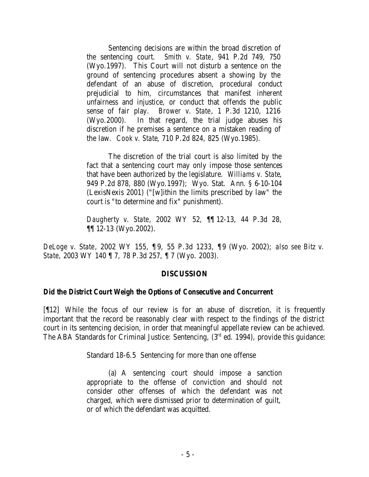Sentencing decisions are within the broad discretion of the sentencing court. *Smith v. State*, 941 P.2d 749, 750 (Wyo.1997). This Court will not disturb a sentence on the ground of sentencing procedures absent a showing by the defendant of an abuse of discretion, procedural conduct prejudicial to him, circumstances that manifest inherent unfairness and injustice, or conduct that offends the public sense of fair play. *Brower v. State*, 1 P.3d 1210, 1216 (Wyo.2000). In that regard, the trial judge abuses his discretion if he premises a sentence on a mistaken reading of the law. *Cook v. State*, 710 P.2d 824, 825 (Wyo.1985).

The discretion of the trial court is also limited by the fact that a sentencing court may only impose those sentences that have been authorized by the legislature. *Williams v. State*, 949 P.2d 878, 880 (Wyo.1997); Wyo. Stat. Ann. § 6-10-104 (LexisNexis 2001) ("[w]ithin the limits prescribed by law" the court is "to determine and fix" punishment).

*Daugherty v. State*, 2002 WY 52, ¶¶ 12-13, 44 P.3d 28, ¶¶ 12-13 (Wyo.2002).

*DeLoge v. State*, 2002 WY 155, ¶ 9, 55 P.3d 1233, ¶9 (Wyo. 2002); *also see Bitz v. State*, 2003 WY 140 ¶ 7, 78 P.3d 257, ¶ 7 (Wyo. 2003).

## **DISCUSSION**

#### *Did the District Court Weigh the Options of Consecutive and Concurrent*

[¶12] While the focus of our review is for an abuse of discretion, it is frequently important that the record be reasonably clear with respect to the findings of the district court in its sentencing decision, in order that meaningful appellate review can be achieved. The ABA Standards for Criminal Justice: Sentencing, (3<sup>rd</sup> ed. 1994), provide this guidance:

Standard 18-6.5 Sentencing for more than one offense

(a) A sentencing court should impose a sanction appropriate to the offense of conviction and should not consider other offenses of which the defendant was not charged, which were dismissed prior to determination of guilt, or of which the defendant was acquitted.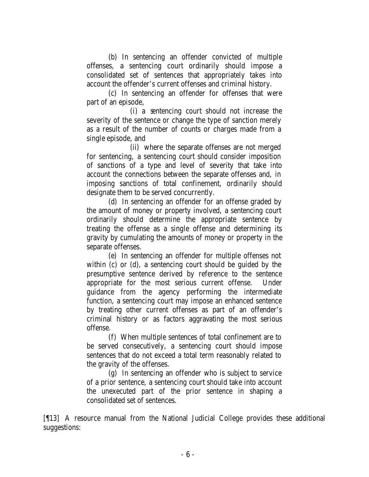(b) In sentencing an offender convicted of multiple offenses, a sentencing court ordinarily should impose a consolidated set of sentences that appropriately takes into account the offender's current offenses and criminal history.

(c) In sentencing an offender for offenses that were part of an episode,

(i) a sentencing court should not increase the severity of the sentence or change the type of sanction merely as a result of the number of counts or charges made from a single episode, and

(ii) where the separate offenses are not merged for sentencing, a sentencing court should consider imposition of sanctions of a type and level of severity that take into account the connections between the separate offenses and, in imposing sanctions of total confinement, ordinarily should designate them to be served concurrently.

(d) In sentencing an offender for an offense graded by the amount of money or property involved, a sentencing court ordinarily should determine the appropriate sentence by treating the offense as a single offense and determining its gravity by cumulating the amounts of money or property in the separate offenses.

(e) In sentencing an offender for multiple offenses not within (c) or (d), a sentencing court should be guided by the presumptive sentence derived by reference to the sentence appropriate for the most serious current offense. Under guidance from the agency performing the intermediate function, a sentencing court may impose an enhanced sentence by treating other current offenses as part of an offender's criminal history or as factors aggravating the most serious offense.

(f) When multiple sentences of total confinement are to be served consecutively, a sentencing court should impose sentences that do not exceed a total term reasonably related to the gravity of the offenses.

(g) In sentencing an offender who is subject to service of a prior sentence, a sentencing court should take into account the unexecuted part of the prior sentence in shaping a consolidated set of sentences.

[¶13] A resource manual from the National Judicial College provides these additional suggestions: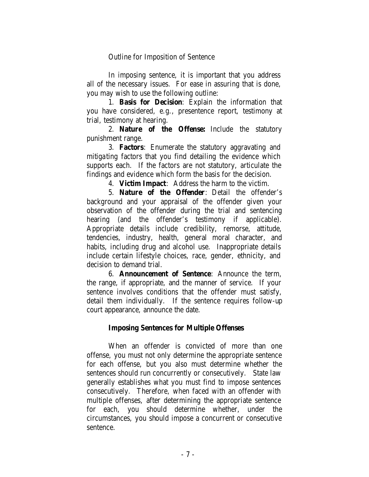Outline for Imposition of Sentence

In imposing sentence, it is important that you address all of the necessary issues. For ease in assuring that is done, you may wish to use the following outline:

1. **Basis for Decision**: Explain the information that you have considered, e.g., presentence report, testimony at trial, testimony at hearing.

2. **Nature of the Offense:** Include the statutory punishment range.

3. **Factors**: Enumerate the statutory aggravating and mitigating factors that you find detailing the evidence which supports each. If the factors are not statutory, articulate the findings and evidence which form the basis for the decision.

4. **Victim Impact**: Address the harm to the victim.

5. **Nature of the Offender**: Detail the offender's background and your appraisal of the offender given your observation of the offender during the trial and sentencing hearing (and the offender's testimony if applicable). Appropriate details include credibility, remorse, attitude, tendencies, industry, health, general moral character, and habits, including drug and alcohol use. Inappropriate details include certain lifestyle choices, race, gender, ethnicity, and decision to demand trial.

6. **Announcement of Sentence**: Announce the term, the range, if appropriate, and the manner of service. If your sentence involves conditions that the offender must satisfy, detail them individually. If the sentence requires follow-up court appearance, announce the date.

## **Imposing Sentences for Multiple Offenses**

When an offender is convicted of more than one offense, you must not only determine the appropriate sentence for each offense, but you also must determine whether the sentences should run concurrently or consecutively. State law generally establishes what you must find to impose sentences consecutively. Therefore, when faced with an offender with multiple offenses, after determining the appropriate sentence for each, you should determine whether, under the circumstances, you should impose a concurrent or consecutive sentence.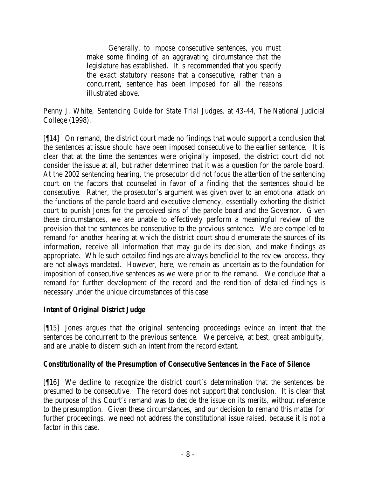Generally, to impose consecutive sentences, you must make some finding of an aggravating circumstance that the legislature has established. It is recommended that you specify the exact statutory reasons that a consecutive, rather than a concurrent, sentence has been imposed for all the reasons illustrated above.

Penny J. White, *Sentencing Guide for State Trial Judges*, at 43-44, The National Judicial College (1998).

[¶14] On remand, the district court made no findings that would support a conclusion that the sentences at issue should have been imposed consecutive to the earlier sentence. It is clear that at the time the sentences were originally imposed, the district court did not consider the issue at all, but rather determined that it was a question for the parole board. At the 2002 sentencing hearing, the prosecutor did not focus the attention of the sentencing court on the factors that counseled in favor of a finding that the sentences should be consecutive. Rather, the prosecutor's argument was given over to an emotional attack on the functions of the parole board and executive clemency, essentially exhorting the district court to punish Jones for the perceived sins of the parole board and the Governor. Given these circumstances, we are unable to effectively perform a meaningful review of the provision that the sentences be consecutive to the previous sentence. We are compelled to remand for another hearing at which the district court should enumerate the sources of its information, receive all information that may guide its decision, and make findings as appropriate. While such detailed findings are always beneficial to the review process, they are not always mandated. However, here, we remain as uncertain as to the foundation for imposition of consecutive sentences as we were prior to the remand. We conclude that a remand for further development of the record and the rendition of detailed findings is necessary under the unique circumstances of this case.

## *Intent of Original District Judge*

[¶15] Jones argues that the original sentencing proceedings evince an intent that the sentences be concurrent to the previous sentence. We perceive, at best, great ambiguity, and are unable to discern such an intent from the record extant.

## *Constitutionality of the Presumption of Consecutive Sentences in the Face of Silence*

[¶16] We decline to recognize the district court's determination that the sentences be presumed to be consecutive. The record does not support that conclusion. It is clear that the purpose of this Court's remand was to decide the issue on its merits, without reference to the presumption. Given these circumstances, and our decision to remand this matter for further proceedings, we need not address the constitutional issue raised, because it is not a factor in this case.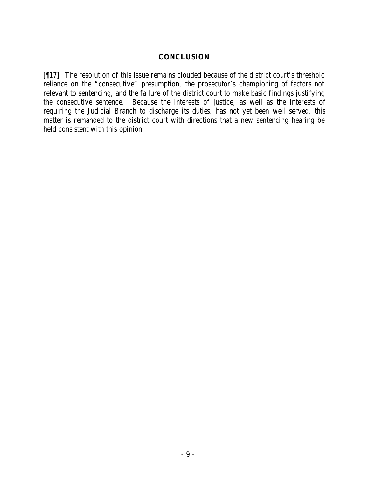#### **CONCLUSION**

[¶17] The resolution of this issue remains clouded because of the district court's threshold reliance on the "consecutive" presumption, the prosecutor's championing of factors not relevant to sentencing, and the failure of the district court to make basic findings justifying the consecutive sentence. Because the interests of justice, as well as the interests of requiring the Judicial Branch to discharge its duties, has not yet been well served, this matter is remanded to the district court with directions that a new sentencing hearing be held consistent with this opinion.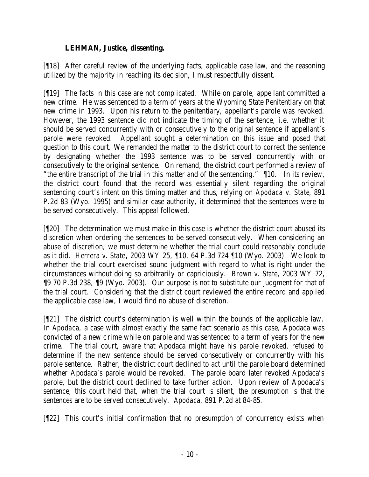## **LEHMAN, Justice, dissenting.**

[¶18] After careful review of the underlying facts, applicable case law, and the reasoning utilized by the majority in reaching its decision, I must respectfully dissent.

[¶19] The facts in this case are not complicated. While on parole, appellant committed a new crime. He was sentenced to a term of years at the Wyoming State Penitentiary on that new crime in 1993. Upon his return to the penitentiary, appellant's parole was revoked. However, the 1993 sentence did not indicate the timing of the sentence, i.e. whether it should be served concurrently with or consecutively to the original sentence if appellant's parole were revoked. Appellant sought a determination on this issue and posed that question to this court. We remanded the matter to the district court to correct the sentence by designating whether the 1993 sentence was to be served concurrently with or consecutively to the original sentence. On remand, the district court performed a review of "the entire transcript of the trial in this matter and of the sentencing." ¶10. In its review, the district court found that the record was essentially silent regarding the original sentencing court's intent on this timing matter and thus, relying on *Apodaca v. State*, 891 P.2d 83 (Wyo. 1995) and similar case authority, it determined that the sentences were to be served consecutively. This appeal followed.

[¶20] The determination we must make in this case is whether the district court abused its discretion when ordering the sentences to be served consecutively. When considering an abuse of discretion, we must determine whether the trial court could reasonably conclude as it did. *Herrera v. State*, 2003 WY 25, ¶10, 64 P.3d 724 ¶10 (Wyo. 2003). We look to whether the trial court exercised sound judgment with regard to what is right under the circumstances without doing so arbitrarily or capriciously. *Brown v. State*, 2003 WY 72, ¶9 70 P.3d 238, ¶9 (Wyo. 2003). Our purpose is not to substitute our judgment for that of the trial court. Considering that the district court reviewed the entire record and applied the applicable case law, I would find no abuse of discretion.

[¶21] The district court's determination is well within the bounds of the applicable law. In *Apodaca*, a case with almost exactly the same fact scenario as this case, Apodaca was convicted of a new crime while on parole and was sentenced to a term of years for the new crime. The trial court, aware that Apodaca might have his parole revoked, refused to determine if the new sentence should be served consecutively or concurrently with his parole sentence. Rather, the district court declined to act until the parole board determined whether Apodaca's parole would be revoked. The parole board later revoked Apodaca's parole, but the district court declined to take further action. Upon review of Apodaca's sentence, this court held that, when the trial court is silent, the presumption is that the sentences are to be served consecutively. *Apodaca*, 891 P.2d at 84-85.

[¶22] This court's initial confirmation that no presumption of concurrency exists when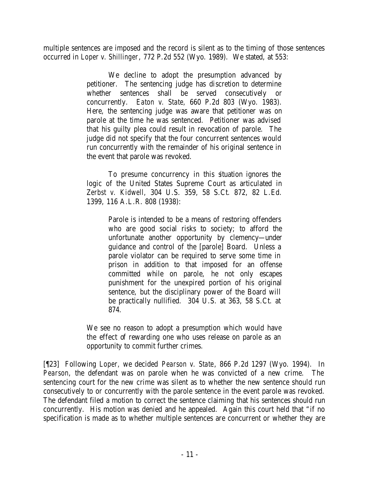multiple sentences are imposed and the record is silent as to the timing of those sentences occurred in *Loper v. Shillinger*, 772 P.2d 552 (Wyo. 1989). We stated, at 553:

> We decline to adopt the presumption advanced by petitioner. The sentencing judge has discretion to determine whether sentences shall be served consecutively or concurrently. *Eaton v. State,* 660 P.2d 803 (Wyo. 1983). Here, the sentencing judge was aware that petitioner was on parole at the time he was sentenced. Petitioner was advised that his guilty plea could result in revocation of parole. The judge did not specify that the four concurrent sentences would run concurrently with the remainder of his original sentence in the event that parole was revoked.

> To presume concurrency in this situation ignores the logic of the United States Supreme Court as articulated in *Zerbst v. Kidwell,* 304 U.S. 359, 58 S.Ct. 872, 82 L.Ed. 1399, 116 A.L.R. 808 (1938):

> > Parole is intended to be a means of restoring offenders who are good social risks to society; to afford the unfortunate another opportunity by clemency—under guidance and control of the [parole] Board. Unless a parole violator can be required to serve some time in prison in addition to that imposed for an offense committed while on parole, he not only escapes punishment for the unexpired portion of his original sentence, but the disciplinary power of the Board will be practically nullified. 304 U.S. at 363, 58 S.Ct. at 874.

We see no reason to adopt a presumption which would have the effect of rewarding one who uses release on parole as an opportunity to commit further crimes.

[¶23] Following *Loper,* we decided *Pearson v. State*, 866 P.2d 1297 (Wyo. 1994). In *Pearson*, the defendant was on parole when he was convicted of a new crime. The sentencing court for the new crime was silent as to whether the new sentence should run consecutively to or concurrently with the parole sentence in the event parole was revoked. The defendant filed a motion to correct the sentence claiming that his sentences should run concurrently. His motion was denied and he appealed. Again this court held that "if no specification is made as to whether multiple sentences are concurrent or whether they are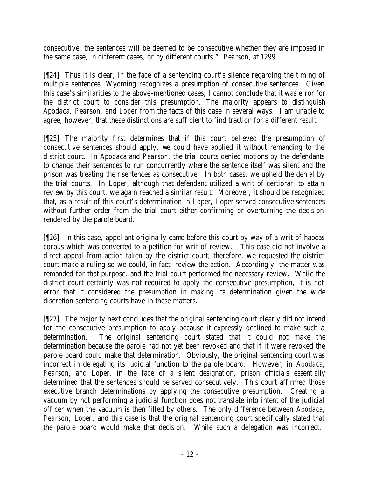consecutive, the sentences will be deemed to be consecutive whether they are imposed in the same case, in different cases, or by different courts." *Pearson*, at 1299.

[¶24] Thus it is clear, in the face of a sentencing court's silence regarding the timing of multiple sentences, Wyoming recognizes a presumption of consecutive sentences. Given this case's similarities to the above-mentioned cases, I cannot conclude that it was error for the district court to consider this presumption. The majority appears to distinguish *Apodaca*, *Pearson*, and *Loper* from the facts of this case in several ways. I am unable to agree, however, that these distinctions are sufficient to find traction for a different result.

[¶25] The majority first determines that if this court believed the presumption of consecutive sentences should apply, we could have applied it without remanding to the district court. In *Apodaca* and *Pearson*, the trial courts denied motions by the defendants to change their sentences to run concurrently where the sentence itself was silent and the prison was treating their sentences as consecutive. In both cases, we upheld the denial by the trial courts. In *Loper*, although that defendant utilized a writ of certiorari to attain review by this court, we again reached a similar result. Moreover, it should be recognized that, as a result of this court's determination in *Loper*, Loper served consecutive sentences without further order from the trial court either confirming or overturning the decision rendered by the parole board.

[¶26] In this case, appellant originally came before this court by way of a writ of habeas corpus which was converted to a petition for writ of review. This case did not involve a direct appeal from action taken by the district court; therefore, we requested the district court make a ruling so we could, in fact, review the action. Accordingly, the matter was remanded for that purpose, and the trial court performed the necessary review. While the district court certainly was not required to apply the consecutive presumption, it is not error that it considered the presumption in making its determination given the wide discretion sentencing courts have in these matters.

[¶27] The majority next concludes that the original sentencing court clearly did not intend for the consecutive presumption to apply because it expressly declined to make such a determination. The original sentencing court stated that it could not make the determination because the parole had not yet been revoked and that if it were revoked the parole board could make that determination. Obviously, the original sentencing court was incorrect in delegating its judicial function to the parole board. However, in *Apodaca*, *Pearson*, and *Loper*, in the face of a silent designation, prison officials essentially determined that the sentences should be served consecutively. This court affirmed those executive branch determinations by applying the consecutive presumption. Creating a vacuum by not performing a judicial function does not translate into intent of the judicial officer when the vacuum is then filled by others. The only difference between *Apodaca*, *Pearson*, *Loper*, and this case is that the original sentencing court specifically stated that the parole board would make that decision. While such a delegation was incorrect,